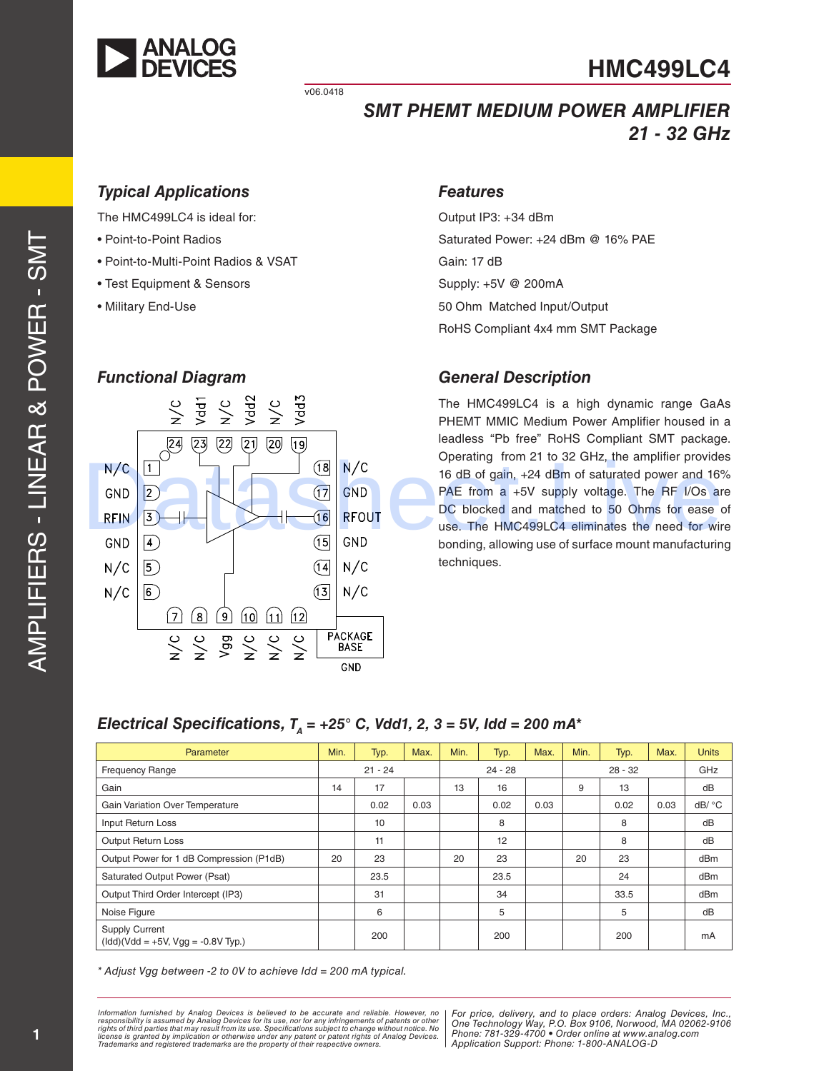

v06.0418

# *SMT PHEMT MEDIUM POWER AMPLIFIER 21 - 32 GHz*

# *Typical Applications*

The HMC499LC4 is ideal for:

- Point-to-Point Radios
- Point-to-Multi-Point Radios & VSAT
- Test Equipment & Sensors
- Military End-Use

# *Features*

Output IP3: +34 dBm Saturated Power: +24 dBm @ 16% PAE Gain: 17 dB Supply: +5V @ 200mA 50 Ohm Matched Input/Output RoHS Compliant 4x4 mm SMT Package

#### *General Description*

The HMC499LC4 is a high dynamic range GaAs PHEMT MMIC Medium Power Amplifier housed in a leadless "Pb free" RoHS Compliant SMT package. Operating from 21 to 32 GHz, the amplifier provides 16 dB of gain, +24 dBm of saturated power and 16% PAE from a +5V supply voltage. The RF I/Os are DC blocked and matched to 50 Ohms for ease of use. The HMC499LC4 eliminates the need for wire bonding, allowing use of surface mount manufacturing techniques.



# *Electrical Specifications, T<sub>A</sub> = +25° C, Vdd1, 2, 3 = 5V, Idd = 200 mA\**

| Parameter                                                                                                | Min.      | Typ. | Max.      | Min. | Typ.      | Max. | Min. | Typ. | Max. | <b>Units</b> |
|----------------------------------------------------------------------------------------------------------|-----------|------|-----------|------|-----------|------|------|------|------|--------------|
| <b>Frequency Range</b>                                                                                   | $21 - 24$ |      | $24 - 28$ |      | $28 - 32$ |      | GHz  |      |      |              |
| Gain                                                                                                     | 14        | 17   |           | 13   | 16        |      | 9    | 13   |      | dB           |
| <b>Gain Variation Over Temperature</b>                                                                   |           | 0.02 | 0.03      |      | 0.02      | 0.03 |      | 0.02 | 0.03 | dB/ °C       |
| Input Return Loss                                                                                        |           | 10   |           |      | 8         |      |      | 8    |      | dB           |
| <b>Output Return Loss</b>                                                                                |           | 11   |           |      | 12        |      |      | 8    |      | dB           |
| Output Power for 1 dB Compression (P1dB)                                                                 | 20        | 23   |           | 20   | 23        |      | 20   | 23   |      | dBm          |
| Saturated Output Power (Psat)                                                                            |           | 23.5 |           |      | 23.5      |      |      | 24   |      | dBm          |
| Output Third Order Intercept (IP3)                                                                       |           | 31   |           |      | 34        |      |      | 33.5 |      | dBm          |
| Noise Figure                                                                                             |           | 6    |           |      | 5         |      |      | 5    |      | dB           |
| <b>Supply Current</b><br>$(\text{Idd})(\text{Vdd} = +5\text{V}, \text{Vgg} = -0.8\text{V} \text{ Typ.})$ |           | 200  |           |      | 200       |      |      | 200  |      | mA           |

*\* Adjust Vgg between -2 to 0V to achieve Idd = 200 mA typical.*

Information furnished by Analog Devices is believed to be accurate and reliable. However, no<br>responsibility is assumed by Analog Devices for its use, nor for any infringements of patents or other<br>rights of third parties th license is granted by implication or otherwise under any patent or patent rights of Analog Devices.<br>Trademarks and registered trademarks are the property of their respective owners.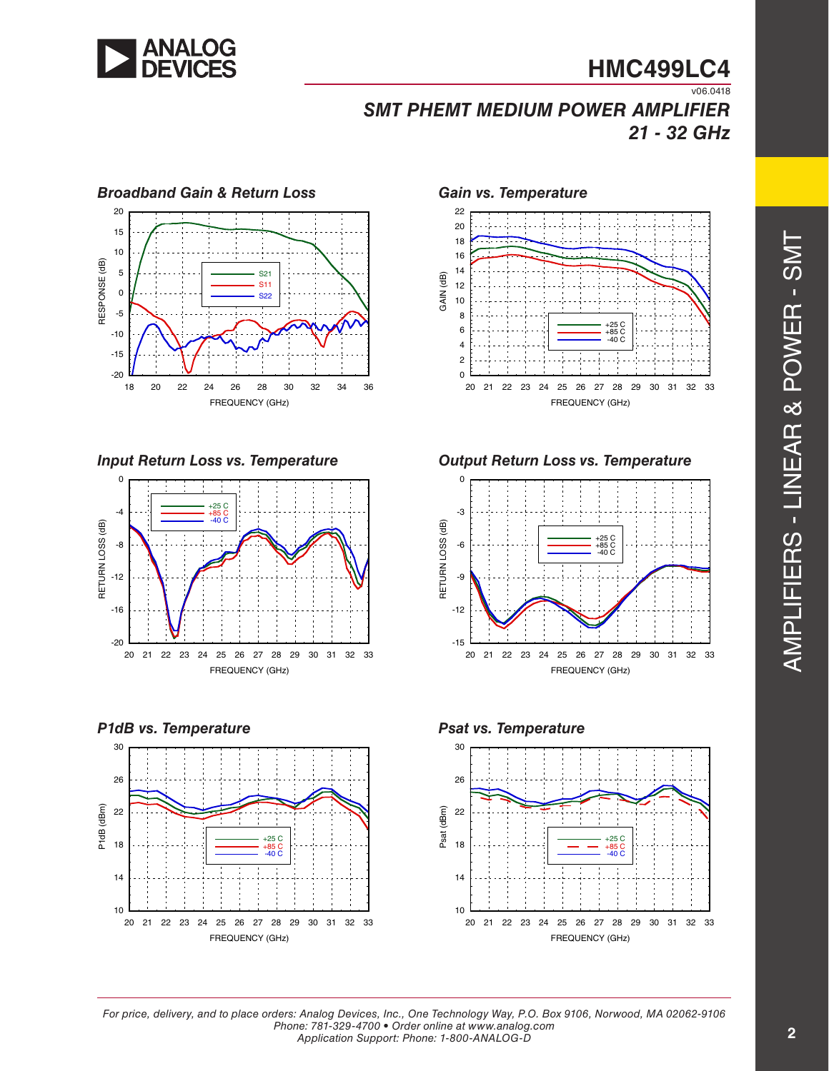

# **HMC499LC4**  $\overline{v06.0418}$

*SMT PHEMT MEDIUM POWER AMPLIFIER 21 - 32 GHz*













*Input Return Loss vs. Temperature Output Return Loss vs. Temperature*





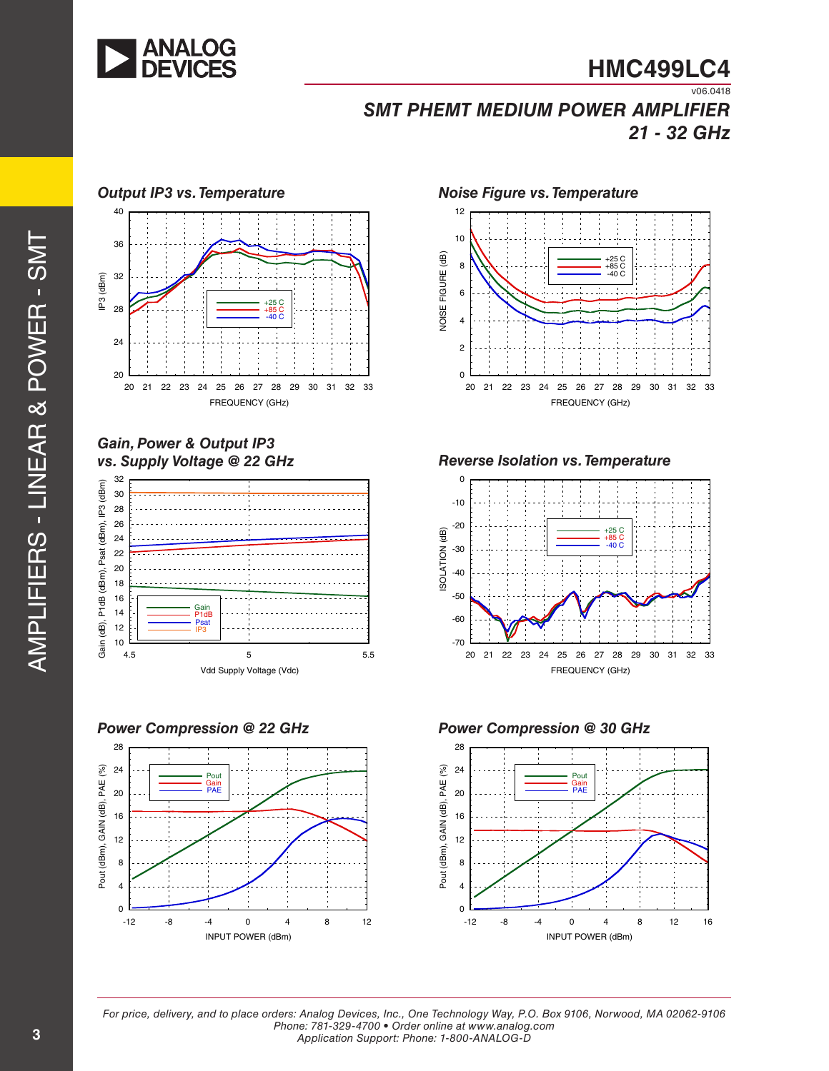

 $\overline{v06.0418}$ *SMT PHEMT MEDIUM POWER AMPLIFIER 21 - 32 GHz*



# *Gain, Power & Output IP3*



*Power Compression @ 22 GHz*







*vs. Supply Voltage @ 22 GHz Reverse Isolation vs. Temperature*



*Power Compression @ 30 GHz*

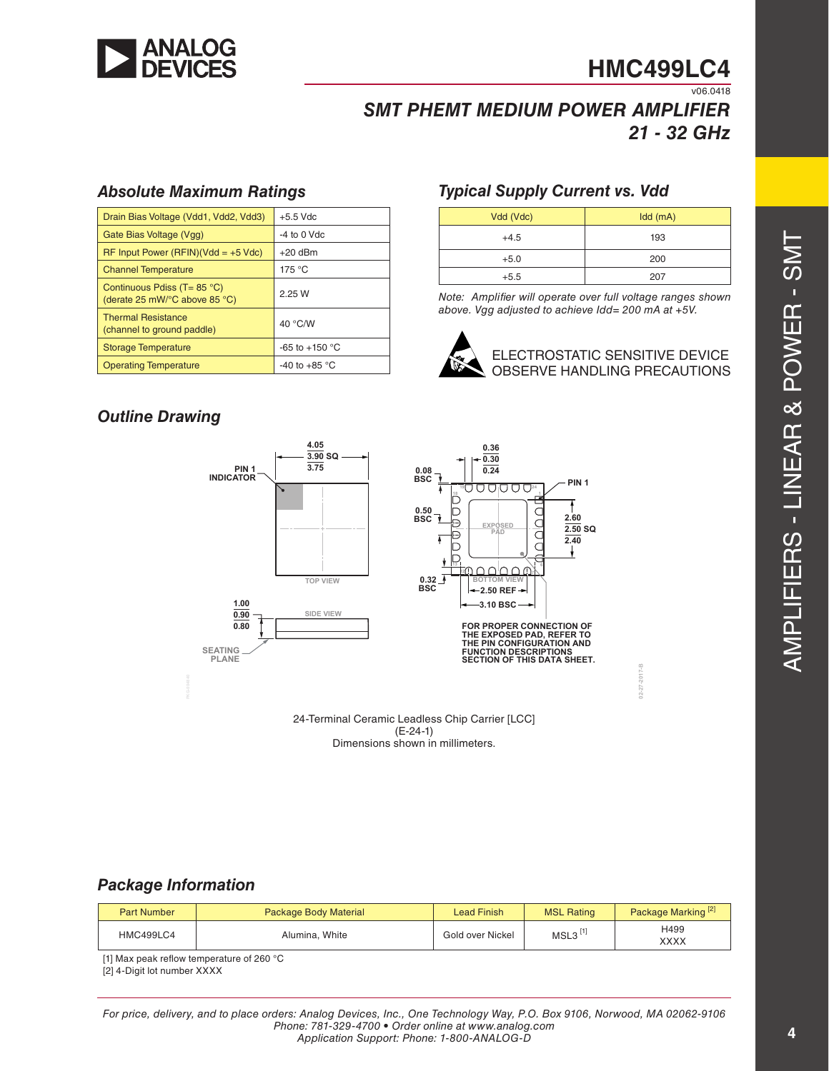

v06.0418

# *SMT PHEMT MEDIUM POWER AMPLIFIER 21 - 32 GHz*

#### *Absolute Maximum Ratings*

| Drain Bias Voltage (Vdd1, Vdd2, Vdd3)                                                    | $+5.5$ Vdc         |
|------------------------------------------------------------------------------------------|--------------------|
| Gate Bias Voltage (Vgg)                                                                  | $-4$ to 0 Vdc      |
| $RF$ Input Power (RFIN)(Vdd = +5 Vdc)                                                    | $+20$ dBm          |
| <b>Channel Temperature</b>                                                               | 175 °C             |
| Continuous Pdiss (T= $85^{\circ}$ C)<br>(derate 25 mW/ $\degree$ C above 85 $\degree$ C) | 2.25W              |
| <b>Thermal Resistance</b><br>(channel to ground paddle)                                  | 40 °C/W            |
| <b>Storage Temperature</b>                                                               | $-65$ to $+150$ °C |
| <b>Operating Temperature</b>                                                             | $-40$ to $+85$ °C  |

# *Typical Supply Current vs. Vdd*

| Vdd (Vdc) | Idd(mA) |
|-----------|---------|
| $+4.5$    | 193     |
| $+5.0$    | 200     |
| $+5.5$    | 207     |

*Note: Amplifier will operate over full voltage ranges shown above. Vgg adjusted to achieve Idd= 200 mA at +5V.*



ELECTROSTATIC SENSITIVE DEVICE **24-CERVE HANDLING PRECAUTIC LEADLESS CHIP CARRIER CHIP CARRIER CHIP CARRIER CHIP CARRIER CHIP CARRIER CHIP CARRIER CHI** 

**02-27-2017-B**

2017-B

### *Outline Drawing*



### *Package Information*

| <b>Part Number</b> | <b>Package Body Material</b> | <b>Lead Finish</b> | <b>MSL Rating</b>     | Package Marking <sup>[2]</sup> |
|--------------------|------------------------------|--------------------|-----------------------|--------------------------------|
| HMC499LC4          | Alumina, White               | Gold over Nickel   | $MSL3$ <sup>[1]</sup> | H499<br><b>XXXX</b>            |

[1] Max peak reflow temperature of 260 °C

[2] 4-Digit lot number XXXX

*For price, delivery, and to place orders: Analog Devices, Inc., One Technology Way, P.O. Box 9106, Norwood, MA 02062-9106 Phone: 781-329-4700 • Order online at www.analog.com Application Support: Phone: 1-800-ANALOG-D*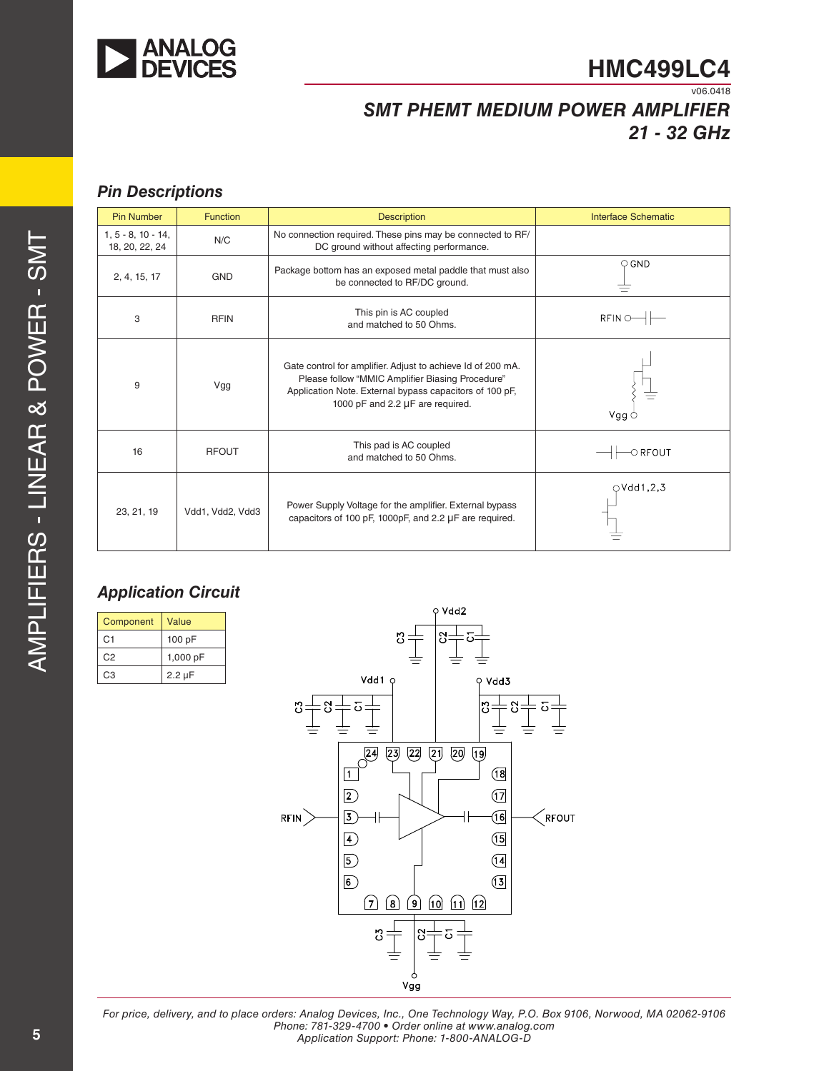

v06.0418

# *SMT PHEMT MEDIUM POWER AMPLIFIER 21 - 32 GHz*

# *Pin Descriptions*

| <b>Pin Number</b>                      | <b>Function</b>  | <b>Description</b>                                                                                                                                                                                             | Interface Schematic      |
|----------------------------------------|------------------|----------------------------------------------------------------------------------------------------------------------------------------------------------------------------------------------------------------|--------------------------|
| $1, 5 - 8, 10 - 14,$<br>18, 20, 22, 24 | N/C              | No connection required. These pins may be connected to RF/<br>DC ground without affecting performance.                                                                                                         |                          |
| 2, 4, 15, 17                           | <b>GND</b>       | Package bottom has an exposed metal paddle that must also<br>be connected to RF/DC ground.                                                                                                                     | $\circ$ GND              |
| 3                                      | <b>RFIN</b>      | This pin is AC coupled<br>and matched to 50 Ohms.                                                                                                                                                              | $RFIN \odot \rightarrow$ |
| 9                                      | Vgg              | Gate control for amplifier. Adjust to achieve Id of 200 mA.<br>Please follow "MMIC Amplifier Biasing Procedure"<br>Application Note. External bypass capacitors of 100 pF,<br>1000 pF and 2.2 µF are required. | Vgg C                    |
| 16                                     | <b>RFOUT</b>     | This pad is AC coupled<br>and matched to 50 Ohms.                                                                                                                                                              | $\circ$ RFOUT            |
| 23, 21, 19                             | Vdd1, Vdd2, Vdd3 | Power Supply Voltage for the amplifier. External bypass<br>capacitors of 100 pF, 1000pF, and 2.2 µF are required.                                                                                              | $\bigcirc$ Vdd1,2,3      |

# *Application Circuit*

| Component      | Value       |  |  |
|----------------|-------------|--|--|
| C <sub>1</sub> | 100 pF      |  |  |
| C <sub>2</sub> | 1,000 pF    |  |  |
| CЗ             | $2.2 \mu F$ |  |  |